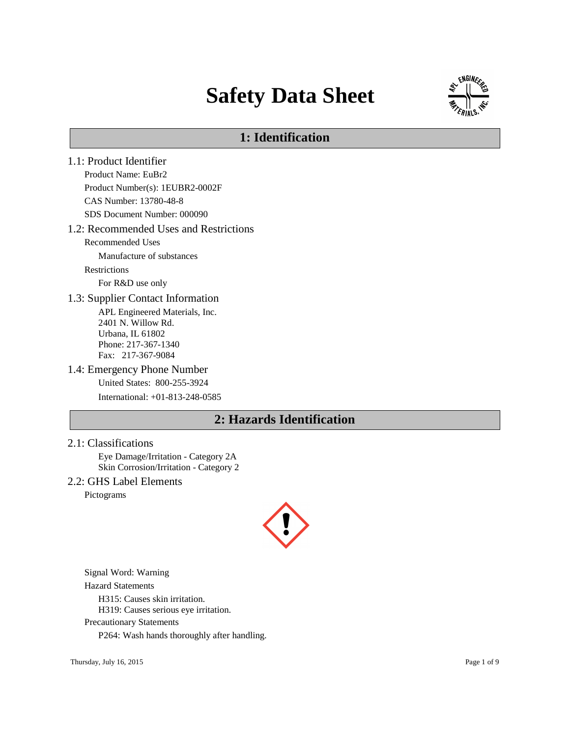# **Safety Data Sheet**



# **1: Identification**

- 1.1: Product Identifier Product Name: EuBr2 Product Number(s): 1EUBR2-0002F CAS Number: 13780-48-8 SDS Document Number: 000090 1.2: Recommended Uses and Restrictions Recommended Uses Manufacture of substances Restrictions For R&D use only 1.3: Supplier Contact Information APL Engineered Materials, Inc. 2401 N. Willow Rd. Urbana, IL 61802 Phone: 217-367-1340 Fax: 217-367-9084 1.4: Emergency Phone Number United States: 800-255-3924 International: +01-813-248-0585 **2: Hazards Identification**
- 2.1: Classifications

Eye Damage/Irritation - Category 2A Skin Corrosion/Irritation - Category 2

2.2: GHS Label Elements

Pictograms



Signal Word: Warning

Hazard Statements

H315: Causes skin irritation.

H319: Causes serious eye irritation.

Precautionary Statements

P264: Wash hands thoroughly after handling.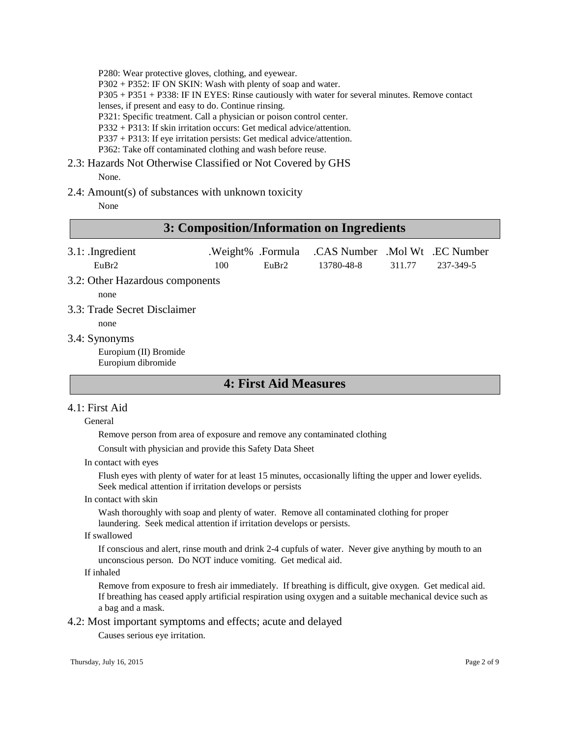P280: Wear protective gloves, clothing, and eyewear.

P302 + P352: IF ON SKIN: Wash with plenty of soap and water.

P305 + P351 + P338: IF IN EYES: Rinse cautiously with water for several minutes. Remove contact

lenses, if present and easy to do. Continue rinsing.

P321: Specific treatment. Call a physician or poison control center.

P332 + P313: If skin irritation occurs: Get medical advice/attention.

P337 + P313: If eye irritation persists: Get medical advice/attention.

P362: Take off contaminated clothing and wash before reuse.

# 2.3: Hazards Not Otherwise Classified or Not Covered by GHS

None.

#### 2.4: Amount(s) of substances with unknown toxicity

None

### **3: Composition/Information on Ingredients**

| $3.1:$ Ingredient |      |                   | .Weight% .Formula .CAS Number .Mol Wt .EC Number |        |           |
|-------------------|------|-------------------|--------------------------------------------------|--------|-----------|
| EuBr2             | 100. | EuBr <sub>2</sub> | 13780-48-8                                       | 311.77 | 237-349-5 |

3.2: Other Hazardous components

none

3.3: Trade Secret Disclaimer

none

3.4: Synonyms

Europium (II) Bromide Europium dibromide

### **4: First Aid Measures**

#### 4.1: First Aid

#### General

Remove person from area of exposure and remove any contaminated clothing

Consult with physician and provide this Safety Data Sheet

In contact with eyes

Flush eyes with plenty of water for at least 15 minutes, occasionally lifting the upper and lower eyelids. Seek medical attention if irritation develops or persists

In contact with skin

Wash thoroughly with soap and plenty of water. Remove all contaminated clothing for proper laundering. Seek medical attention if irritation develops or persists.

#### If swallowed

If conscious and alert, rinse mouth and drink 2-4 cupfuls of water. Never give anything by mouth to an unconscious person. Do NOT induce vomiting. Get medical aid.

#### If inhaled

Remove from exposure to fresh air immediately. If breathing is difficult, give oxygen. Get medical aid. If breathing has ceased apply artificial respiration using oxygen and a suitable mechanical device such as a bag and a mask.

4.2: Most important symptoms and effects; acute and delayed

Causes serious eye irritation.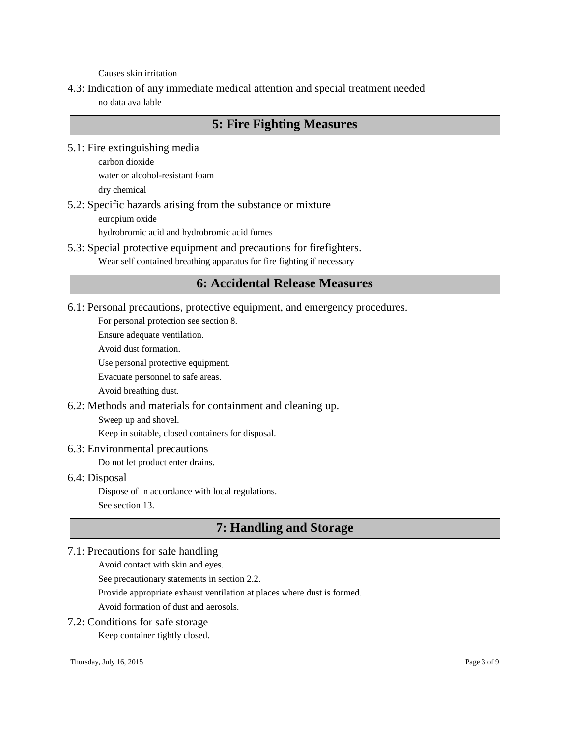Causes skin irritation

4.3: Indication of any immediate medical attention and special treatment needed no data available

# **5: Fire Fighting Measures**

5.1: Fire extinguishing media

carbon dioxide water or alcohol-resistant foam dry chemical

5.2: Specific hazards arising from the substance or mixture europium oxide

hydrobromic acid and hydrobromic acid fumes

5.3: Special protective equipment and precautions for firefighters.

Wear self contained breathing apparatus for fire fighting if necessary

### **6: Accidental Release Measures**

6.1: Personal precautions, protective equipment, and emergency procedures.

For personal protection see section 8.

Ensure adequate ventilation.

Avoid dust formation.

Use personal protective equipment.

Evacuate personnel to safe areas.

Avoid breathing dust.

6.2: Methods and materials for containment and cleaning up.

Sweep up and shovel.

Keep in suitable, closed containers for disposal.

#### 6.3: Environmental precautions

Do not let product enter drains.

#### 6.4: Disposal

Dispose of in accordance with local regulations. See section 13.

### **7: Handling and Storage**

#### 7.1: Precautions for safe handling

Avoid contact with skin and eyes.

See precautionary statements in section 2.2.

Provide appropriate exhaust ventilation at places where dust is formed.

Avoid formation of dust and aerosols.

# 7.2: Conditions for safe storage

Keep container tightly closed.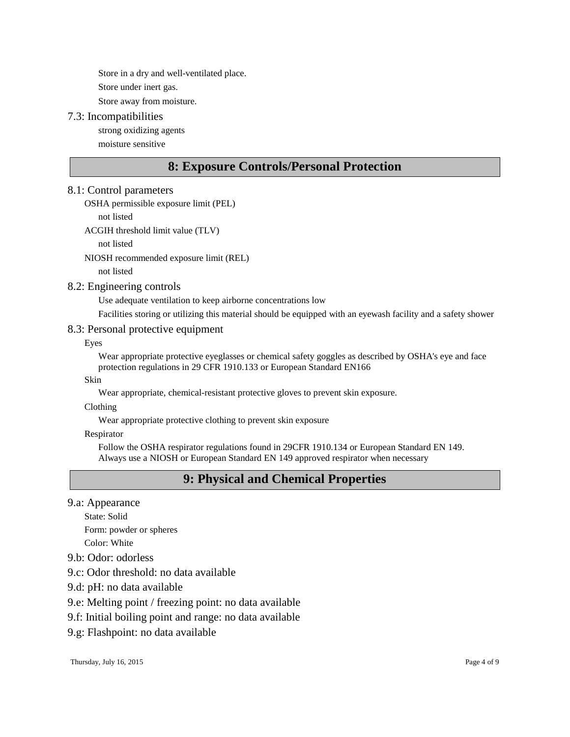Store in a dry and well-ventilated place.

Store under inert gas.

Store away from moisture.

#### 7.3: Incompatibilities

strong oxidizing agents moisture sensitive

# **8: Exposure Controls/Personal Protection**

#### 8.1: Control parameters

OSHA permissible exposure limit (PEL)

not listed

ACGIH threshold limit value (TLV)

not listed

NIOSH recommended exposure limit (REL)

not listed

#### 8.2: Engineering controls

Use adequate ventilation to keep airborne concentrations low

Facilities storing or utilizing this material should be equipped with an eyewash facility and a safety shower

#### 8.3: Personal protective equipment

Eyes

Wear appropriate protective eyeglasses or chemical safety goggles as described by OSHA's eye and face protection regulations in 29 CFR 1910.133 or European Standard EN166

Skin

Wear appropriate, chemical-resistant protective gloves to prevent skin exposure.

Clothing

Wear appropriate protective clothing to prevent skin exposure

Respirator

Follow the OSHA respirator regulations found in 29CFR 1910.134 or European Standard EN 149. Always use a NIOSH or European Standard EN 149 approved respirator when necessary

# **9: Physical and Chemical Properties**

#### 9.a: Appearance

State: Solid Form: powder or spheres Color: White

- 9.b: Odor: odorless
- 9.c: Odor threshold: no data available
- 9.d: pH: no data available
- 9.e: Melting point / freezing point: no data available
- 9.f: Initial boiling point and range: no data available
- 9.g: Flashpoint: no data available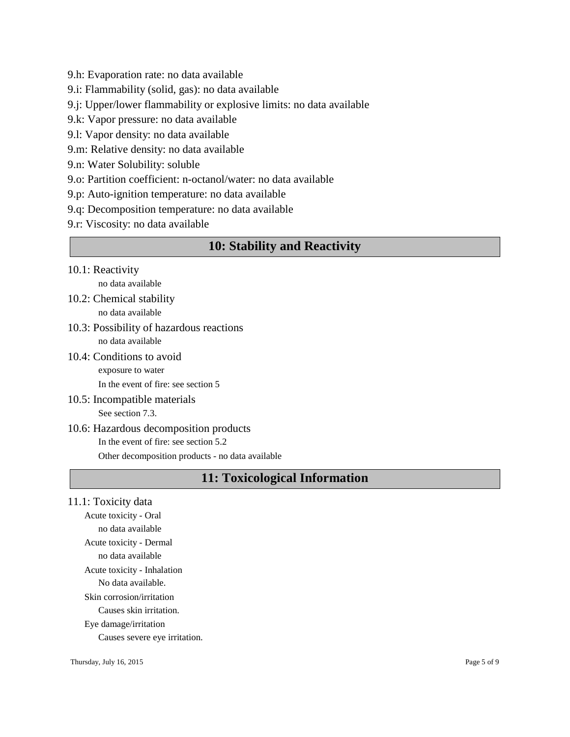- 9.h: Evaporation rate: no data available
- 9.i: Flammability (solid, gas): no data available
- 9.j: Upper/lower flammability or explosive limits: no data available
- 9.k: Vapor pressure: no data available
- 9.l: Vapor density: no data available
- 9.m: Relative density: no data available

9.n: Water Solubility: soluble

- 9.o: Partition coefficient: n-octanol/water: no data available
- 9.p: Auto-ignition temperature: no data available
- 9.q: Decomposition temperature: no data available
- 9.r: Viscosity: no data available

### **10: Stability and Reactivity**

- 10.1: Reactivity no data available
- 10.2: Chemical stability no data available
- 10.3: Possibility of hazardous reactions no data available
- 10.4: Conditions to avoid exposure to water

In the event of fire: see section 5

10.5: Incompatible materials See section 7.3.

### 10.6: Hazardous decomposition products In the event of fire: see section 5.2 Other decomposition products - no data available

# **11: Toxicological Information**

11.1: Toxicity data

Acute toxicity - Oral no data available Acute toxicity - Dermal no data available Acute toxicity - Inhalation No data available. Skin corrosion/irritation Causes skin irritation. Eye damage/irritation Causes severe eye irritation.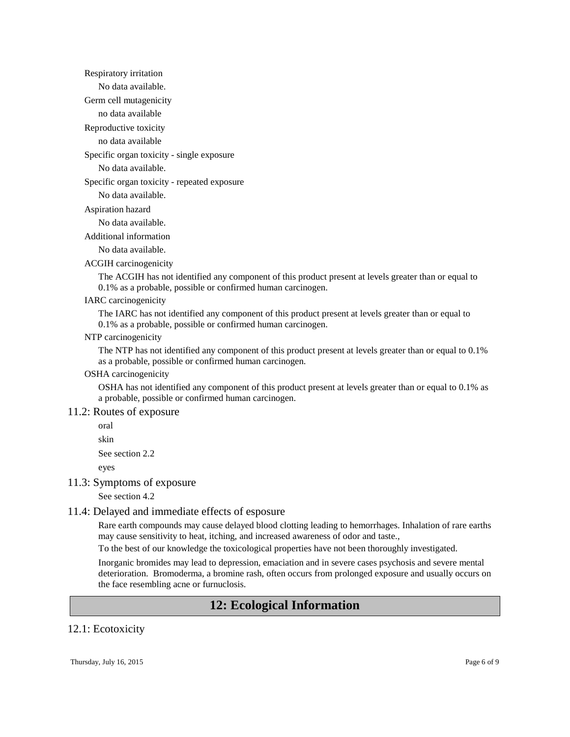Respiratory irritation

No data available.

Germ cell mutagenicity

no data available

Reproductive toxicity

no data available

Specific organ toxicity - single exposure

No data available.

Specific organ toxicity - repeated exposure

No data available.

Aspiration hazard

No data available.

Additional information

No data available.

ACGIH carcinogenicity

The ACGIH has not identified any component of this product present at levels greater than or equal to 0.1% as a probable, possible or confirmed human carcinogen.

#### IARC carcinogenicity

The IARC has not identified any component of this product present at levels greater than or equal to 0.1% as a probable, possible or confirmed human carcinogen.

#### NTP carcinogenicity

The NTP has not identified any component of this product present at levels greater than or equal to 0.1% as a probable, possible or confirmed human carcinogen.

#### OSHA carcinogenicity

OSHA has not identified any component of this product present at levels greater than or equal to 0.1% as a probable, possible or confirmed human carcinogen.

#### 11.2: Routes of exposure

oral

skin

See section 2.2

eyes

#### 11.3: Symptoms of exposure

See section 4.2

#### 11.4: Delayed and immediate effects of esposure

Rare earth compounds may cause delayed blood clotting leading to hemorrhages. Inhalation of rare earths may cause sensitivity to heat, itching, and increased awareness of odor and taste.,

To the best of our knowledge the toxicological properties have not been thoroughly investigated.

Inorganic bromides may lead to depression, emaciation and in severe cases psychosis and severe mental deterioration. Bromoderma, a bromine rash, often occurs from prolonged exposure and usually occurs on the face resembling acne or furnuclosis.

### **12: Ecological Information**

#### 12.1: Ecotoxicity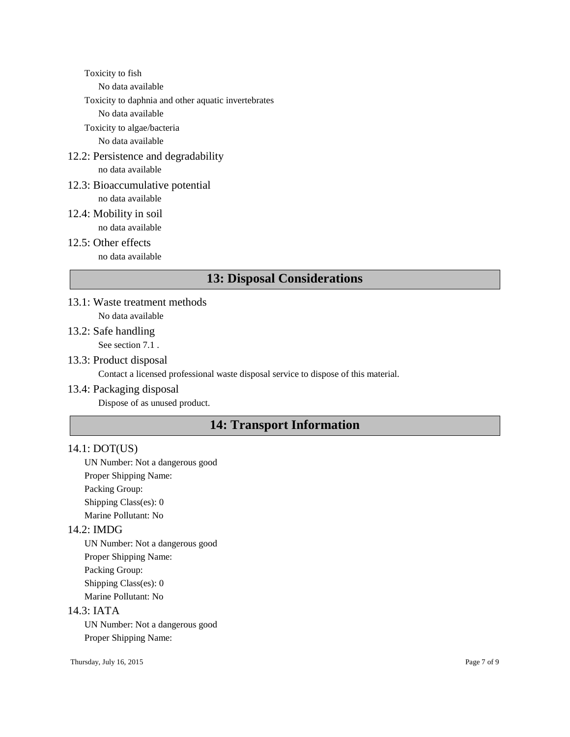Toxicity to fish

No data available

Toxicity to daphnia and other aquatic invertebrates

No data available

Toxicity to algae/bacteria No data available

12.2: Persistence and degradability

no data available

- 12.3: Bioaccumulative potential no data available
- 12.4: Mobility in soil no data available
- 12.5: Other effects

no data available

# **13: Disposal Considerations**

- 13.1: Waste treatment methods No data available
- 13.2: Safe handling

See section 7.1 .

13.3: Product disposal

Contact a licensed professional waste disposal service to dispose of this material.

#### 13.4: Packaging disposal

Dispose of as unused product.

# **14: Transport Information**

### 14.1: DOT(US)

UN Number: Not a dangerous good Proper Shipping Name: Packing Group:

Shipping Class(es): 0 Marine Pollutant: No

### 14.2: IMDG

UN Number: Not a dangerous good Proper Shipping Name: Packing Group: Shipping Class(es): 0 Marine Pollutant: No

#### 14.3: IATA

UN Number: Not a dangerous good Proper Shipping Name: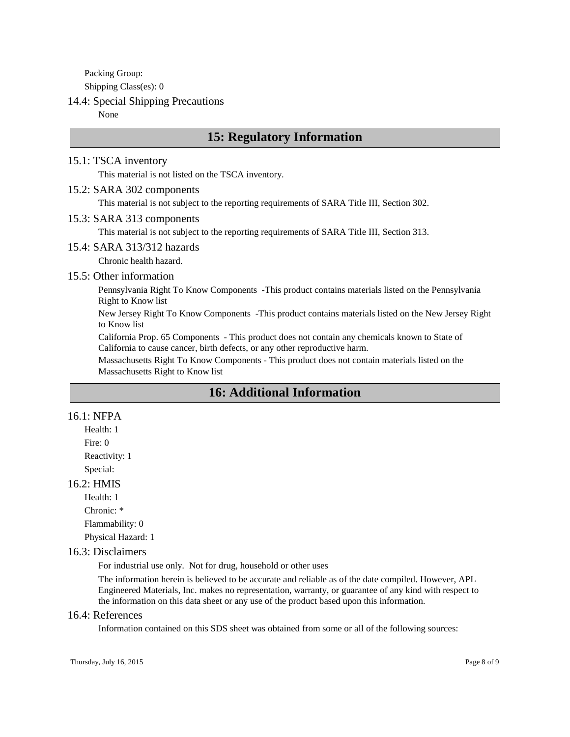Packing Group: Shipping Class(es): 0

#### 14.4: Special Shipping Precautions

None

# **15: Regulatory Information**

#### 15.1: TSCA inventory

This material is not listed on the TSCA inventory.

#### 15.2: SARA 302 components

This material is not subject to the reporting requirements of SARA Title III, Section 302.

#### 15.3: SARA 313 components

This material is not subject to the reporting requirements of SARA Title III, Section 313.

#### 15.4: SARA 313/312 hazards

Chronic health hazard.

#### 15.5: Other information

Pennsylvania Right To Know Components -This product contains materials listed on the Pennsylvania Right to Know list

New Jersey Right To Know Components -This product contains materials listed on the New Jersey Right to Know list

California Prop. 65 Components - This product does not contain any chemicals known to State of California to cause cancer, birth defects, or any other reproductive harm.

Massachusetts Right To Know Components - This product does not contain materials listed on the Massachusetts Right to Know list

# **16: Additional Information**

#### 16.1: NFPA

Health: 1 Fire: 0 Reactivity: 1 Special:

#### 16.2: HMIS

Health: 1

Chronic: \*

Flammability: 0

Physical Hazard: 1

#### 16.3: Disclaimers

For industrial use only. Not for drug, household or other uses

The information herein is believed to be accurate and reliable as of the date compiled. However, APL Engineered Materials, Inc. makes no representation, warranty, or guarantee of any kind with respect to the information on this data sheet or any use of the product based upon this information.

#### 16.4: References

Information contained on this SDS sheet was obtained from some or all of the following sources: